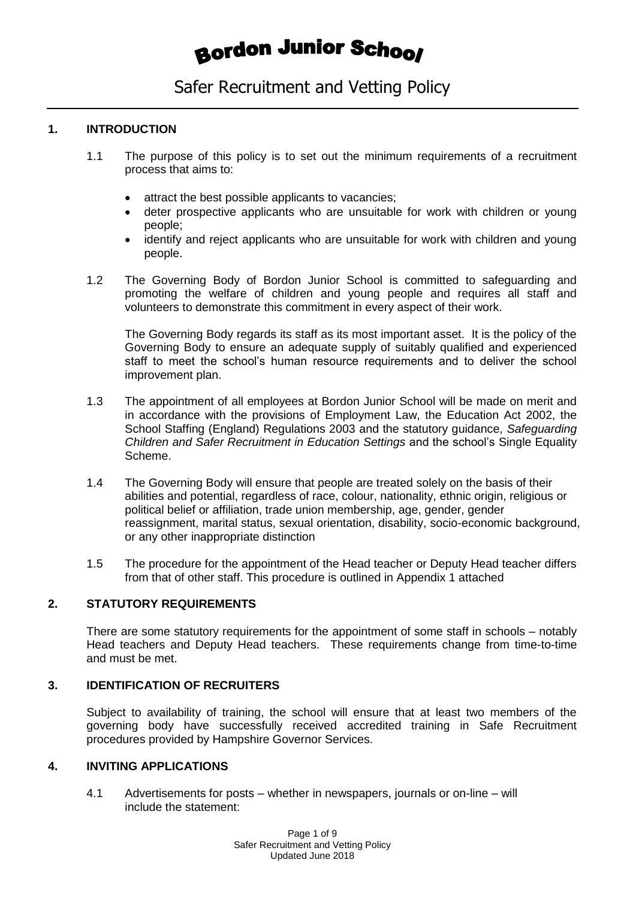# **Bordon Junior School**

## Safer Recruitment and Vetting Policy

## **1. INTRODUCTION**

- 1.1 The purpose of this policy is to set out the minimum requirements of a recruitment process that aims to:
	- attract the best possible applicants to vacancies;
	- deter prospective applicants who are unsuitable for work with children or young people;
	- identify and reject applicants who are unsuitable for work with children and young people.
- 1.2 The Governing Body of Bordon Junior School is committed to safeguarding and promoting the welfare of children and young people and requires all staff and volunteers to demonstrate this commitment in every aspect of their work.

The Governing Body regards its staff as its most important asset. It is the policy of the Governing Body to ensure an adequate supply of suitably qualified and experienced staff to meet the school's human resource requirements and to deliver the school improvement plan.

- 1.3 The appointment of all employees at Bordon Junior School will be made on merit and in accordance with the provisions of Employment Law, the Education Act 2002, the School Staffing (England) Regulations 2003 and the statutory guidance, *Safeguarding Children and Safer Recruitment in Education Settings* and the school's Single Equality Scheme.
- 1.4 The Governing Body will ensure that people are treated solely on the basis of their abilities and potential, regardless of race, colour, nationality, ethnic origin, religious or political belief or affiliation, trade union membership, age, gender, gender reassignment, marital status, sexual orientation, disability, socio-economic background, or any other inappropriate distinction
- 1.5 The procedure for the appointment of the Head teacher or Deputy Head teacher differs from that of other staff. This procedure is outlined in Appendix 1 attached

## **2. STATUTORY REQUIREMENTS**

There are some statutory requirements for the appointment of some staff in schools – notably Head teachers and Deputy Head teachers. These requirements change from time-to-time and must be met.

### **3. IDENTIFICATION OF RECRUITERS**

Subject to availability of training, the school will ensure that at least two members of the governing body have successfully received accredited training in Safe Recruitment procedures provided by Hampshire Governor Services.

## **4. INVITING APPLICATIONS**

4.1 Advertisements for posts – whether in newspapers, journals or on-line – will include the statement: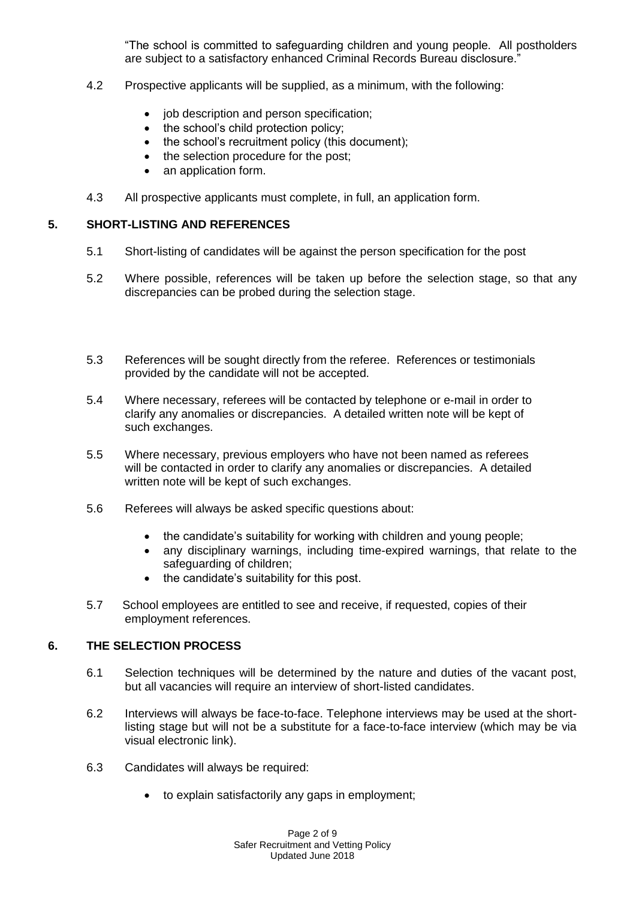"The school is committed to safeguarding children and young people. All postholders are subject to a satisfactory enhanced Criminal Records Bureau disclosure."

- 4.2 Prospective applicants will be supplied, as a minimum, with the following:
	- job description and person specification;
	- the school's child protection policy;
	- the school's recruitment policy (this document);
	- the selection procedure for the post:
	- an application form.
- 4.3 All prospective applicants must complete, in full, an application form.

#### **5. SHORT-LISTING AND REFERENCES**

- 5.1 Short-listing of candidates will be against the person specification for the post
- 5.2 Where possible, references will be taken up before the selection stage, so that any discrepancies can be probed during the selection stage.
- 5.3 References will be sought directly from the referee. References or testimonials provided by the candidate will not be accepted.
- 5.4 Where necessary, referees will be contacted by telephone or e-mail in order to clarify any anomalies or discrepancies. A detailed written note will be kept of such exchanges.
- 5.5 Where necessary, previous employers who have not been named as referees will be contacted in order to clarify any anomalies or discrepancies. A detailed written note will be kept of such exchanges.
- 5.6 Referees will always be asked specific questions about:
	- the candidate's suitability for working with children and young people;
	- any disciplinary warnings, including time-expired warnings, that relate to the safeguarding of children;
	- the candidate's suitability for this post.
- 5.7 School employees are entitled to see and receive, if requested, copies of their employment references.

#### **6. THE SELECTION PROCESS**

- 6.1 Selection techniques will be determined by the nature and duties of the vacant post, but all vacancies will require an interview of short-listed candidates.
- 6.2 Interviews will always be face-to-face. Telephone interviews may be used at the shortlisting stage but will not be a substitute for a face-to-face interview (which may be via visual electronic link).
- 6.3 Candidates will always be required:
	- to explain satisfactorily any gaps in employment;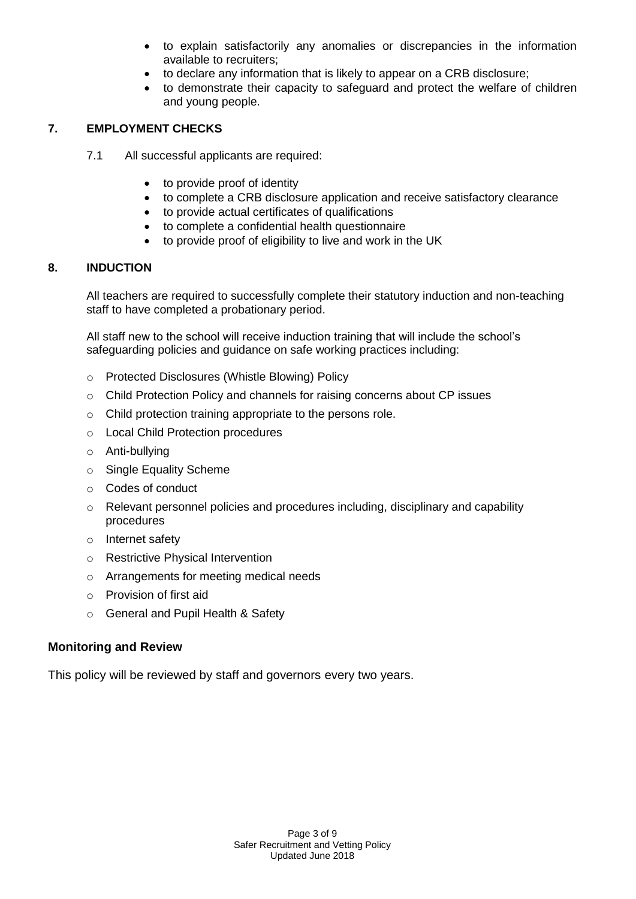- to explain satisfactorily any anomalies or discrepancies in the information available to recruiters;
- to declare any information that is likely to appear on a CRB disclosure;
- to demonstrate their capacity to safeguard and protect the welfare of children and young people.

## **7. EMPLOYMENT CHECKS**

- 7.1 All successful applicants are required:
	- to provide proof of identity
	- to complete a CRB disclosure application and receive satisfactory clearance
	- to provide actual certificates of qualifications
	- to complete a confidential health questionnaire
	- to provide proof of eligibility to live and work in the UK

### **8. INDUCTION**

All teachers are required to successfully complete their statutory induction and non-teaching staff to have completed a probationary period.

All staff new to the school will receive induction training that will include the school's safeguarding policies and guidance on safe working practices including:

- o Protected Disclosures (Whistle Blowing) Policy
- $\circ$  Child Protection Policy and channels for raising concerns about CP issues
- o Child protection training appropriate to the persons role.
- o Local Child Protection procedures
- o Anti-bullying
- o Single Equality Scheme
- o Codes of conduct
- o Relevant personnel policies and procedures including, disciplinary and capability procedures
- o Internet safety
- o Restrictive Physical Intervention
- o Arrangements for meeting medical needs
- o Provision of first aid
- o General and Pupil Health & Safety

## **Monitoring and Review**

This policy will be reviewed by staff and governors every two years.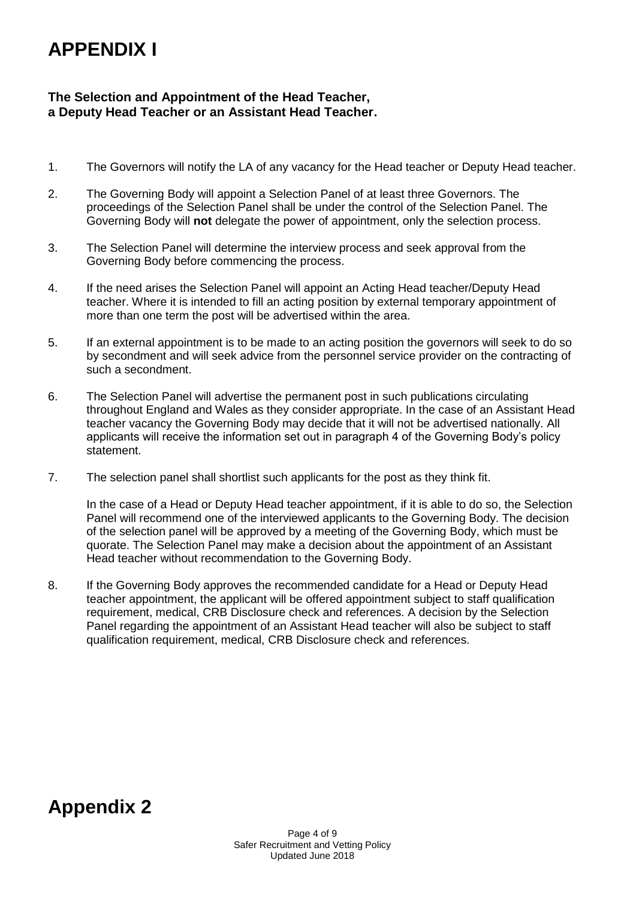## **APPENDIX I**

## **The Selection and Appointment of the Head Teacher, a Deputy Head Teacher or an Assistant Head Teacher.**

- 1. The Governors will notify the LA of any vacancy for the Head teacher or Deputy Head teacher.
- 2. The Governing Body will appoint a Selection Panel of at least three Governors. The proceedings of the Selection Panel shall be under the control of the Selection Panel. The Governing Body will **not** delegate the power of appointment, only the selection process.
- 3. The Selection Panel will determine the interview process and seek approval from the Governing Body before commencing the process.
- 4. If the need arises the Selection Panel will appoint an Acting Head teacher/Deputy Head teacher. Where it is intended to fill an acting position by external temporary appointment of more than one term the post will be advertised within the area.
- 5. If an external appointment is to be made to an acting position the governors will seek to do so by secondment and will seek advice from the personnel service provider on the contracting of such a secondment.
- 6. The Selection Panel will advertise the permanent post in such publications circulating throughout England and Wales as they consider appropriate. In the case of an Assistant Head teacher vacancy the Governing Body may decide that it will not be advertised nationally. All applicants will receive the information set out in paragraph 4 of the Governing Body's policy statement.
- 7. The selection panel shall shortlist such applicants for the post as they think fit.

In the case of a Head or Deputy Head teacher appointment, if it is able to do so, the Selection Panel will recommend one of the interviewed applicants to the Governing Body. The decision of the selection panel will be approved by a meeting of the Governing Body, which must be quorate. The Selection Panel may make a decision about the appointment of an Assistant Head teacher without recommendation to the Governing Body.

8. If the Governing Body approves the recommended candidate for a Head or Deputy Head teacher appointment, the applicant will be offered appointment subject to staff qualification requirement, medical, CRB Disclosure check and references. A decision by the Selection Panel regarding the appointment of an Assistant Head teacher will also be subject to staff qualification requirement, medical, CRB Disclosure check and references.

## **Appendix 2**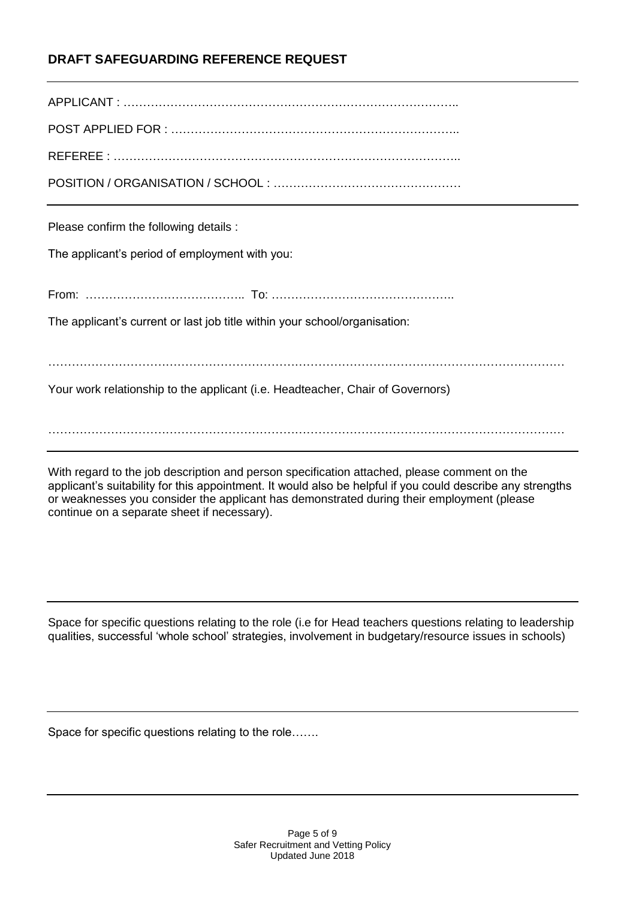## **DRAFT SAFEGUARDING REFERENCE REQUEST**

| Please confirm the following details :                                         |
|--------------------------------------------------------------------------------|
| The applicant's period of employment with you:                                 |
|                                                                                |
| The applicant's current or last job title within your school/organisation:     |
|                                                                                |
|                                                                                |
| Your work relationship to the applicant (i.e. Headteacher, Chair of Governors) |

With regard to the job description and person specification attached, please comment on the applicant's suitability for this appointment. It would also be helpful if you could describe any strengths or weaknesses you consider the applicant has demonstrated during their employment (please continue on a separate sheet if necessary).

Space for specific questions relating to the role (i.e for Head teachers questions relating to leadership qualities, successful 'whole school' strategies, involvement in budgetary/resource issues in schools)

Space for specific questions relating to the role…….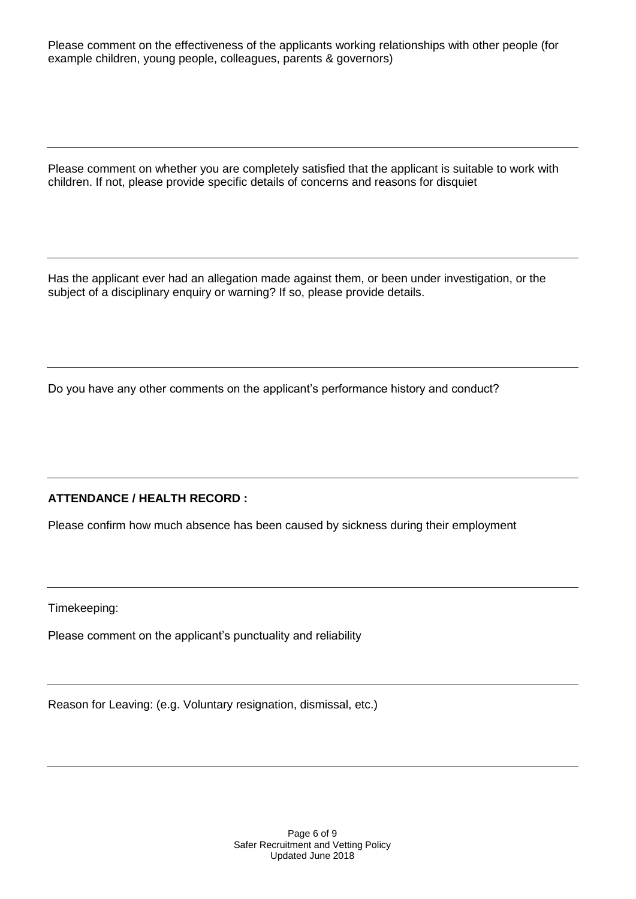Please comment on the effectiveness of the applicants working relationships with other people (for example children, young people, colleagues, parents & governors)

Please comment on whether you are completely satisfied that the applicant is suitable to work with children. If not, please provide specific details of concerns and reasons for disquiet

Has the applicant ever had an allegation made against them, or been under investigation, or the subject of a disciplinary enquiry or warning? If so, please provide details.

Do you have any other comments on the applicant's performance history and conduct?

## **ATTENDANCE / HEALTH RECORD :**

Please confirm how much absence has been caused by sickness during their employment

Timekeeping:

Please comment on the applicant's punctuality and reliability

Reason for Leaving: (e.g. Voluntary resignation, dismissal, etc.)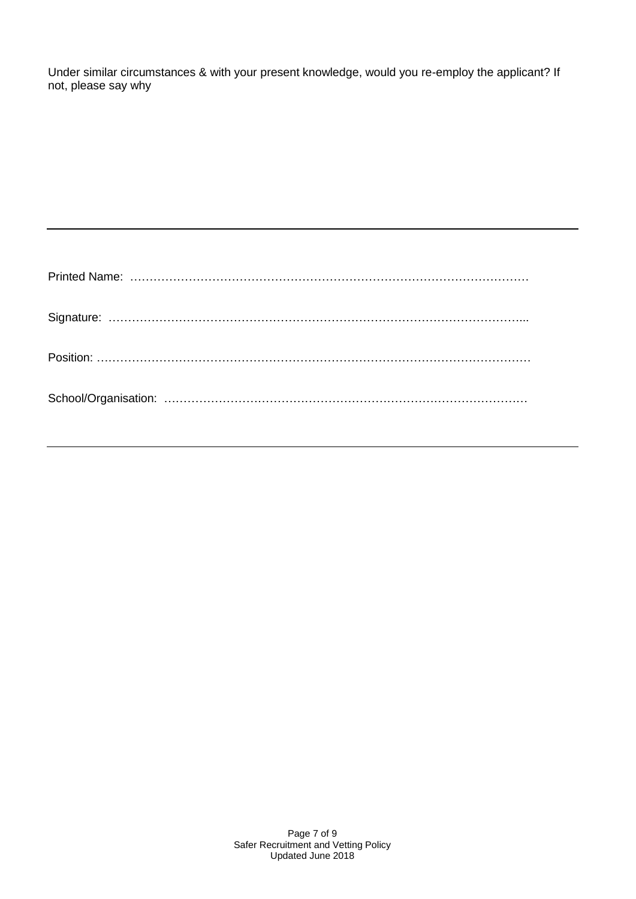Under similar circumstances & with your present knowledge, would you re-employ the applicant? If not, please say why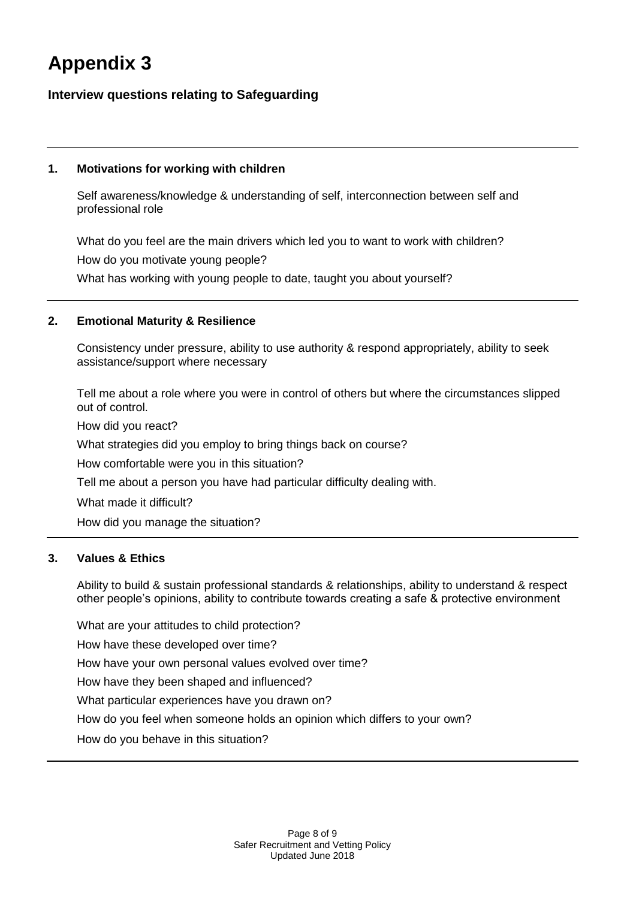## **Appendix 3**

## **Interview questions relating to Safeguarding**

## **1. Motivations for working with children**

Self awareness/knowledge & understanding of self, interconnection between self and professional role

What do you feel are the main drivers which led you to want to work with children? How do you motivate young people?

What has working with young people to date, taught you about yourself?

### **2. Emotional Maturity & Resilience**

Consistency under pressure, ability to use authority & respond appropriately, ability to seek assistance/support where necessary

Tell me about a role where you were in control of others but where the circumstances slipped out of control.

How did you react?

What strategies did you employ to bring things back on course?

How comfortable were you in this situation?

Tell me about a person you have had particular difficulty dealing with.

What made it difficult?

How did you manage the situation?

## **3. Values & Ethics**

Ability to build & sustain professional standards & relationships, ability to understand & respect other people's opinions, ability to contribute towards creating a safe & protective environment

What are your attitudes to child protection?

How have these developed over time?

How have your own personal values evolved over time?

How have they been shaped and influenced?

What particular experiences have you drawn on?

How do you feel when someone holds an opinion which differs to your own?

How do you behave in this situation?